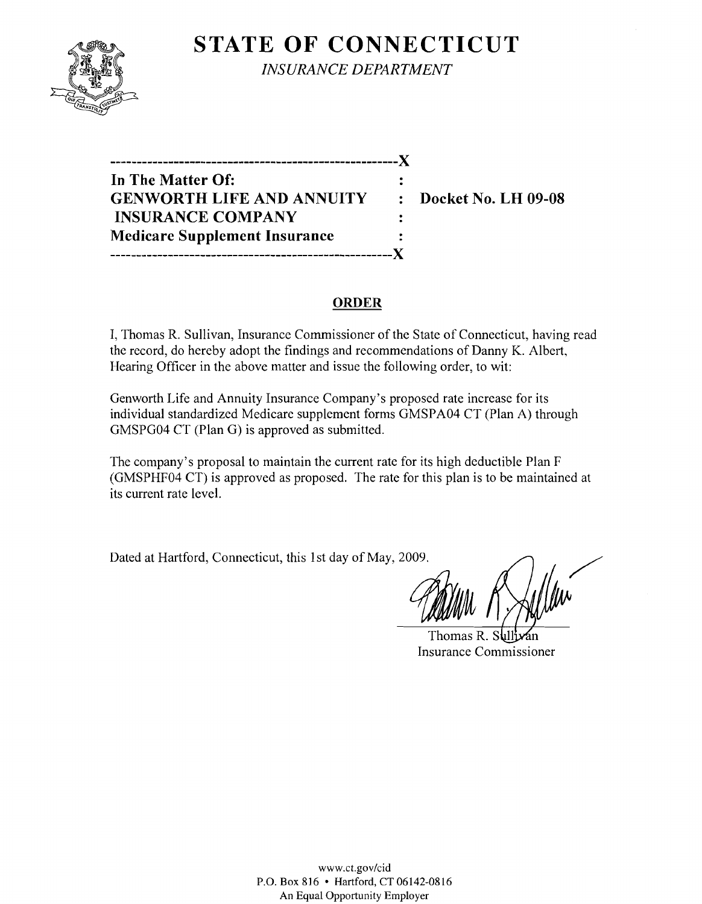

**STATE OF CONNECTICUT** *INSURANCE DEPARTMENT* 

**In The Matter Of: GENWORTH LIFE AND ANNUITY : Docket No. LH 09-08 INSURANCE COMPANY Medicare Supplement Insurance -----------------------------------------------------}(** 

**------------------------------------------------------)(** 

# **ORDER**

 $\ddot{\phantom{a}}$  $\ddot{\cdot}$ 

I, Thomas R. Sullivan, Insurance Commissioner of the State of Connecticut, having read the record, do hereby adopt the findings and recommendations of Danny K. Albert, Hearing Officer in the above matter and issue the following order, to wit:

Genworth Life and Annuity Insurance Company's proposed rate increase for its individual standardized Medicare supplement forms GMSPA04 CT (Plan A) through GMSPG04 CT (Plan G) is approved as submitted.

The company's proposal to maintain the current rate for its high deductible Plan F (GMSPHF04 CT) is approved as proposed. The rate for this plan is to be maintained at its current rate level.

Dated at Hartford, Connecticut, this 1st day of May, 2009.

**CONTINUE REAL AND THE THE REAL AND STATES** 

Thomas R. Sul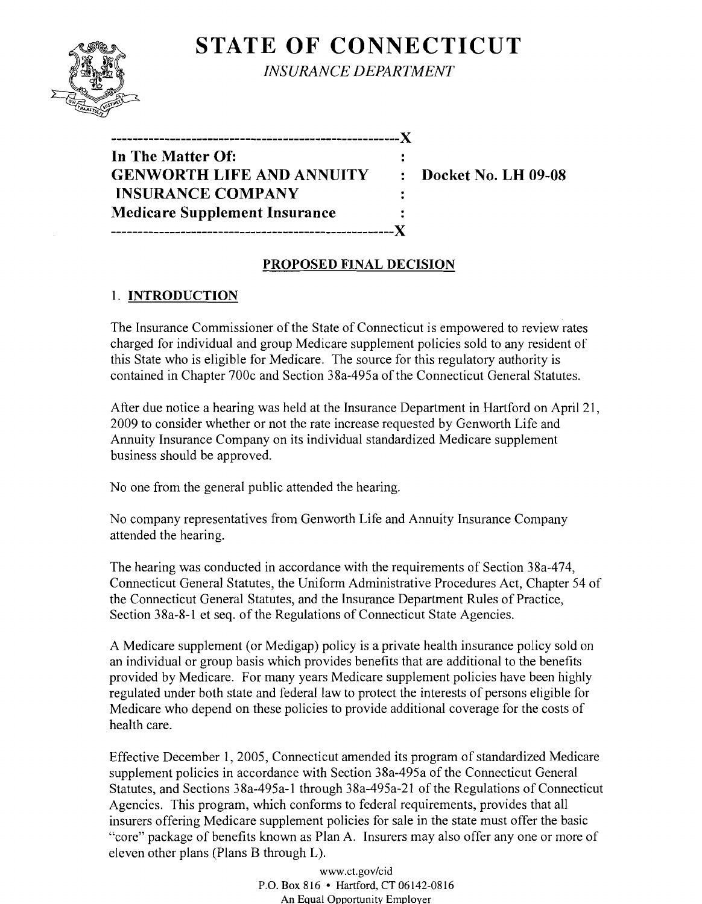# **STATE OF CONNECTICUT**



*INSURANCE DEPARTMENT* 

| In The Matter Of:                    |   |
|--------------------------------------|---|
| <b>GENWORTH LIFE AND ANNUITY</b>     | ٠ |
| <b>INSURANCE COMPANY</b>             |   |
| <b>Medicare Supplement Insurance</b> |   |
| , __________________________________ |   |

**Docket No. LH 09-08** 

### **PROPOSED FINAL DECISION**

### 1. **INTRODUCTION**

The Insurance Commissioner of the State of Connecticut is empowered to review rates charged for individual and group Medicare supplement policies sold to any resident of this State who is eligible for Medicare. The source for this regulatory authority is contained in Chapter 700c and Section 38a-495a of the Connecticut General Statutes.

After due notice a hearing was held at the Insurance Department in Hartford on April 21, 2009 to consider whether or not the rate increase requested by Genworth Life and Annuity Insurance Company on its individual standardized Medicare supplement business should be approved.

No one from the general public attended the hearing.

No company representatives from Genworth Life and Annuity Insurance Company attended the hearing.

The hearing was conducted in accordance with the requirements of Section 38a-474, Connecticut General Statutes, the Uniform Administrative Procedures Act, Chapter 54 of the Connecticut General Statutes, and the Insurance Department Rules of Practice, Section 38a-8-1 et seq. of the Regulations of Connecticut State Agencies.

A Medicare supplement (or Medigap) policy is a private health insurance policy sold on an individual or group basis which provides benefits that are additional to the benefits provided by Medicare. For many years Medicare supplement policies have been highly regulated under both state and federal law to protect the interests of persons eligible for Medicare who depend on these policies to provide additional coverage for the costs of health care.

Effective December I, 2005, Connecticut amended its program of standardized Medicare supplement policies in accordance with Section 38a-495a of the Connecticut General Statutes, and Sections 38a-495a-1 through 38a-495a-21 of the Regulations of Connecticut Agencies. This program, which conforms to federal requirements, provides that all insurers offering Medicare supplement policies for sale in the state must offer the basic "core" package of benefits known as Plan A. Insurers may also offer anyone or more of eleven other plans (Plans B through L).

> www.ct.gov/cid P.O. Box 816 • Hartford, CT 06142-0816 An Equal Opportunity Employer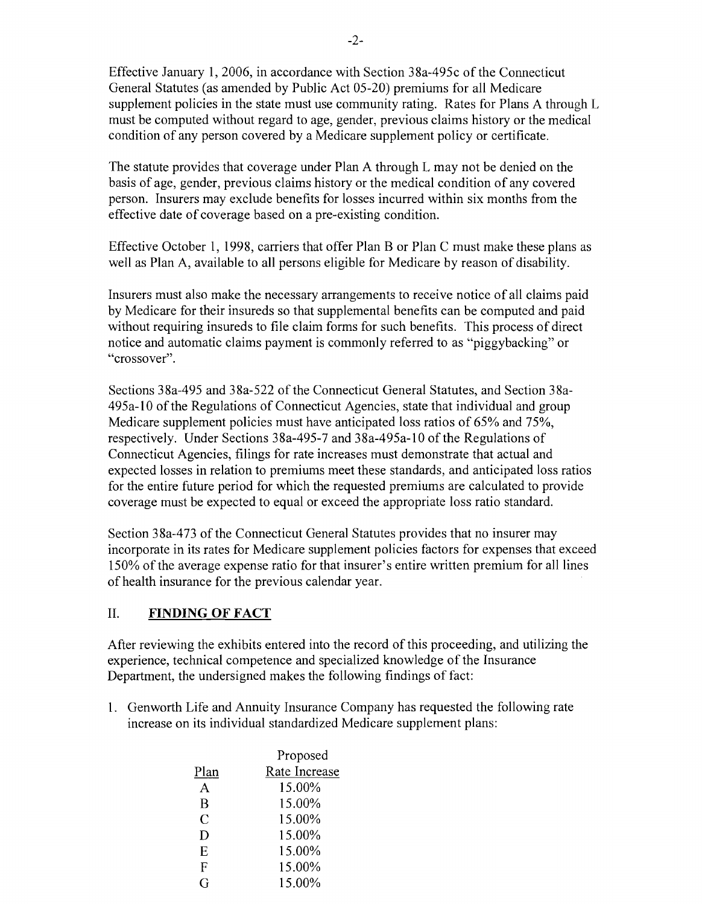Effective January 1,2006, in accordance with Section 38a-495c of the Connecticut General Statutes (as amended by Public Act 05-20) premiums for all Medicare supplement policies in the state must use community rating. Rates for Plans A through L must be computed without regard to age, gender, previous claims history or the medical condition of any person covered by a Medicare supplement policy or certificate.

The statute provides that coverage under Plan A through L may not be denied on the basis of age, gender, previous claims history or the medical condition of any covered person. Insurers may exclude benefits for losses incurred within six months from the effective date of coverage based on a pre-existing condition.

Effective October 1, 1998, carriers that offer Plan B or Plan C must make these plans as well as Plan A, available to all persons eligible for Medicare by reason of disability.

Insurers must also make the necessary arrangements to receive notice of all claims paid by Medicare for their insureds so that supplemental benefits can be computed and paid without requiring insureds to file claim forms for such benefits. This process of direct notice and automatic claims payment is commonly referred to as "piggybacking" or "crossover".

Sections 38a-495 and 38a-522 of the Connecticut General Statutes, and Section 38a-495a-1O ofthe Regulations of Connecticut Agencies, state that individual and group Medicare supplement policies must have anticipated loss ratios of 65% and 75%, respectively. Under Sections 38a-495-7 and 38a-495a-l 0 of the Regulations of Connecticut Agencies, filings for rate increases must demonstrate that actual and expected losses in relation to premiums meet these standards, and anticipated loss ratios for the entire future period for which the requested premiums are calculated to provide coverage must be expected to equal or exceed the appropriate loss ratio standard.

Section 38a-473 of the Connecticut General Statutes provides that no insurer may incorporate in its rates for Medicare supplement policies factors for expenses that exceed 150% of the average expense ratio for that insurer's entire written premium for all lines of health insurance for the previous calendar year.

# II. **FINDING OF FACT**

After reviewing the exhibits entered into the record of this proceeding, and utilizing the experience, technical competence and specialized knowledge of the Insurance Department, the undersigned makes the following findings of fact:

1. Genworth Life and Annuity Insurance Company has requested the following rate increase on its individual standardized Medicare supplement plans:

|      | Proposed      |  |  |
|------|---------------|--|--|
| Plan | Rate Increase |  |  |
| A    | 15.00%        |  |  |
| B    | 15.00%        |  |  |
| C    | 15.00%        |  |  |
| D    | 15.00%        |  |  |
| E    | 15.00%        |  |  |
| F    | 15.00%        |  |  |
| G    | 15.00%        |  |  |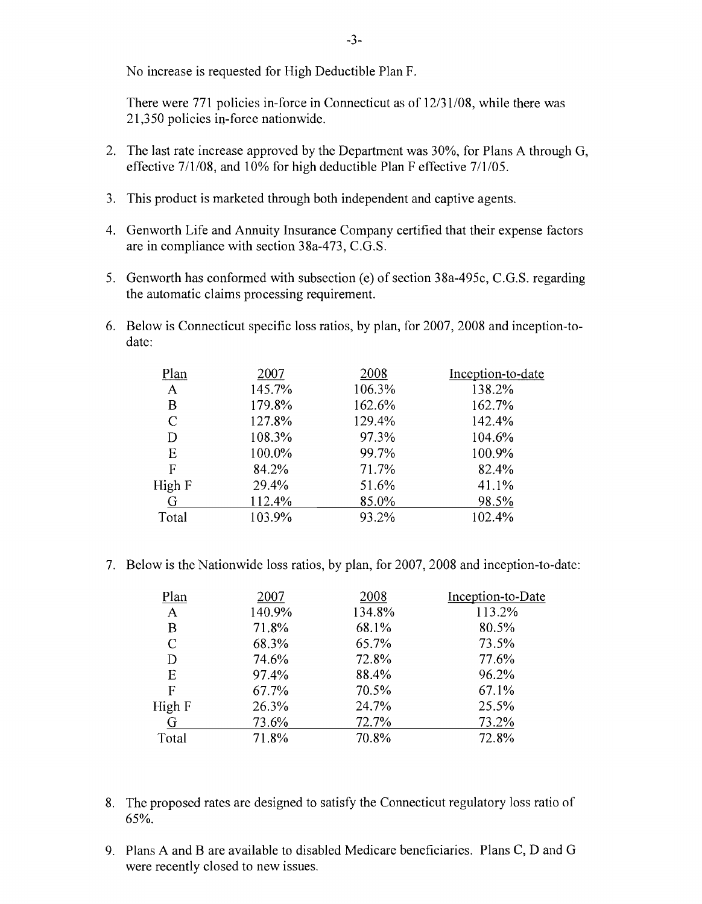No increase is requested for High Deductible Plan F.

There were 771 policies in-force in Connecticut as of 12/31/08, while there was 21,350 policies in-force nationwide.

- 2. The last rate increase approved by the Department was 30%, for Plans A through G, effective 7/1/08, and 10% for high deductible Plan F effective 7/1/05.
- 3. This product is marketed through both independent and captive agents.
- 4. Genworth Life and Annuity Insurance Company certified that their expense factors are in compliance with section 38a-473, C.G.S.
- 5. Genworth has conformed with subsection (e) of section 38a-495c, C.G.S. regarding the automatic claims processing requirement.
- 6. Below is Connecticut specific loss ratios, by plan, for 2007,2008 and inception-todate:

| 2007   | 2008   | Inception-to-date |
|--------|--------|-------------------|
| 145.7% | 106.3% | 138.2%            |
| 179.8% | 162.6% | 162.7%            |
| 127.8% | 129.4% | 142.4%            |
| 108.3% | 97.3%  | 104.6%            |
| 100.0% | 99.7%  | 100.9%            |
| 84.2%  | 71.7%  | 82.4%             |
| 29.4%  | 51.6%  | 41.1%             |
| 112.4% | 85.0%  | 98.5%             |
| 103.9% | 93.2%  | 102.4%            |
|        |        |                   |

7. Below is the Nationwide loss ratios, by plan, for 2007, 2008 and inception-to-date:

| 2007  | 2008   | Inception-to-Date |
|-------|--------|-------------------|
|       | 134.8% | 113.2%            |
| 71.8% | 68.1%  | 80.5%             |
| 68.3% | 65.7%  | 73.5%             |
| 74.6% | 72.8%  | 77.6%             |
| 97.4% | 88.4%  | 96.2%             |
| 67.7% | 70.5%  | 67.1%             |
| 26.3% | 24.7%  | 25.5%             |
| 73.6% | 72.7%  | 73.2%             |
| 71.8% | 70.8%  | 72.8%             |
|       | 140.9% |                   |

- 8. The proposed rates are designed to satisfy the Connecticut regulatory loss ratio of 65%.
- 9. Plans A and B are available to disabled Medicare beneficiaries. Plans C, D and G were recently closed to new issues.